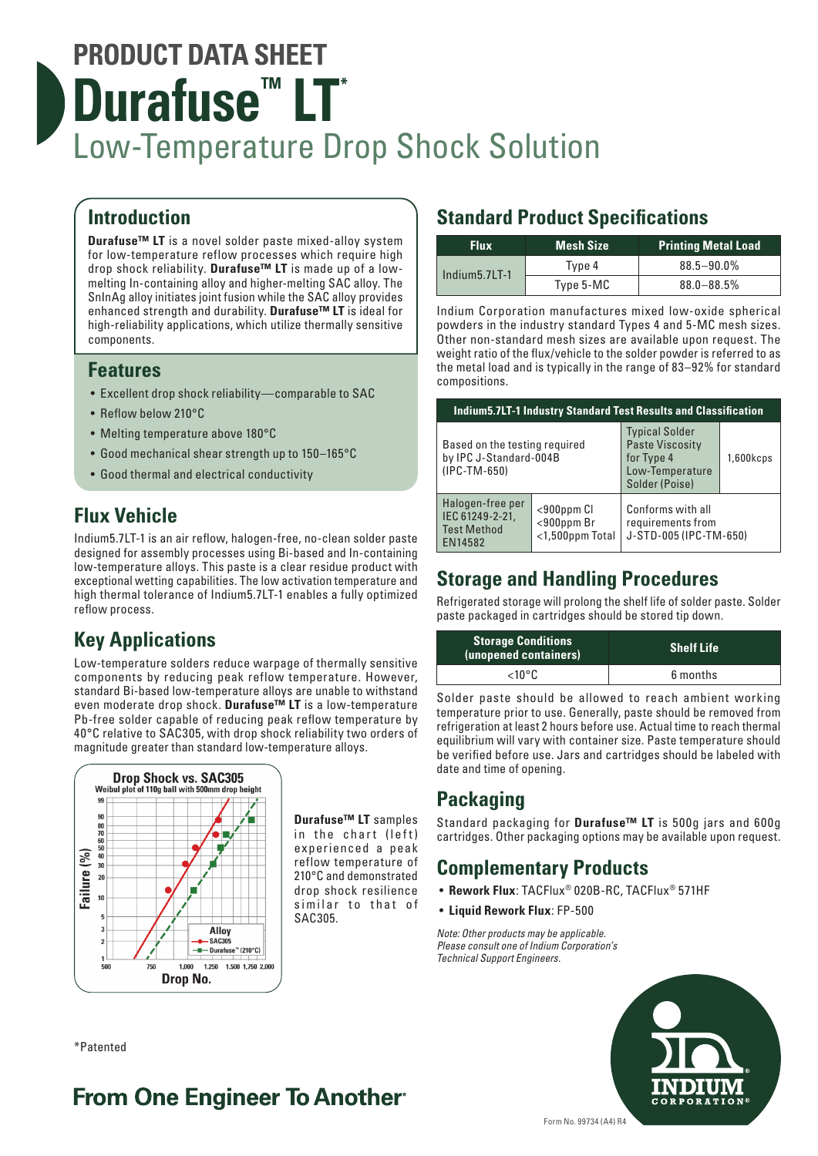## **PRODUCT DATA SHEET Durafuse<sup>™</sup> LT<sup>\*</sup>** Low-Temperature Drop Shock Solution

### **Introduction**

**Durafuse™ LT** is a novel solder paste mixed-alloy system for low-temperature reflow processes which require high drop shock reliability. **Durafuse™ LT** is made up of a lowmelting In-containing alloy and higher-melting SAC alloy. The SnInAg alloy initiates joint fusion while the SAC alloy provides enhanced strength and durability. **Durafuse™ LT** is ideal for high-reliability applications, which utilize thermally sensitive components.

### **Features**

- Excellent drop shock reliability—comparable to SAC
- Reflow below 210°C
- Melting temperature above 180°C
- Good mechanical shear strength up to 150–165°C
- Good thermal and electrical conductivity

## **Flux Vehicle**

Indium5.7LT-1 is an air reflow, halogen-free, no-clean solder paste designed for assembly processes using Bi-based and In-containing low-temperature alloys. This paste is a clear residue product with exceptional wetting capabilities. The low activation temperature and high thermal tolerance of Indium5.7LT-1 enables a fully optimized reflow process.

## **Key Applications**

Low-temperature solders reduce warpage of thermally sensitive components by reducing peak reflow temperature. However, standard Bi-based low-temperature alloys are unable to withstand even moderate drop shock. **Durafuse™ LT** is a low-temperature Pb-free solder capable of reducing peak reflow temperature by 40°C relative to SAC305, with drop shock reliability two orders of magnitude greater than standard low-temperature alloys.



**Durafuse™ LT** samples in the chart (left) experienced a peak reflow temperature of 210°C and demonstrated drop shock resilience similar to that of SAC305.

## **Standard Product Specifications**

| <b>Flux</b>     | <b>Mesh Size</b> | <b>Printing Metal Load</b> |
|-----------------|------------------|----------------------------|
| l Indium5.7LT-1 | Type 4           | $88.5 - 90.0\%$            |
|                 | Type 5-MC        | $88.0 - 88.5%$             |

Indium Corporation manufactures mixed low-oxide spherical powders in the industry standard Types 4 and 5-MC mesh sizes. Other non-standard mesh sizes are available upon request. The weight ratio of the flux/vehicle to the solder powder is referred to as the metal load and is typically in the range of 83–92% for standard compositions.

| <b>Indium5.7LT-1 Industry Standard Test Results and Classification</b>    |                                                     |                                                                                                    |           |  |
|---------------------------------------------------------------------------|-----------------------------------------------------|----------------------------------------------------------------------------------------------------|-----------|--|
| Based on the testing required<br>by IPC J-Standard-004B<br>$(IPC-TM-650)$ |                                                     | <b>Typical Solder</b><br><b>Paste Viscosity</b><br>for Type 4<br>Low-Temperature<br>Solder (Poise) | 1,600kcps |  |
| Halogen-free per<br>IEC 61249-2-21,<br><b>Test Method</b><br>EN14582      | $<$ 900ppm $Cl$<br>$<$ 900ppm Br<br><1,500ppm Total | Conforms with all<br>requirements from<br>J-STD-005 (IPC-TM-650)                                   |           |  |

## **Storage and Handling Procedures**

Refrigerated storage will prolong the shelf life of solder paste. Solder paste packaged in cartridges should be stored tip down.

| <b>Storage Conditions</b><br>(unopened containers) | <b>Shelf Life</b> |  |
|----------------------------------------------------|-------------------|--|
| $<$ 10°C.                                          | 6 months          |  |

Solder paste should be allowed to reach ambient working temperature prior to use. Generally, paste should be removed from refrigeration at least 2 hours before use. Actual time to reach thermal equilibrium will vary with container size. Paste temperature should be verified before use. Jars and cartridges should be labeled with date and time of opening.

## **Packaging**

Standard packaging for **Durafuse™ LT** is 500g jars and 600g cartridges. Other packaging options may be available upon request.

## **Complementary Products**

- **Rework Flux**: TACFlux® 020B-RC, TACFlux® 571HF
- **Liquid Rework Flux**: FP-500

*Note: Other products may be applicable. Please consult one of Indium Corporation's Technical Support Engineers.*



\*Patented

## **From One Engineer To Another**®

Form No. 99734 (A4) R4